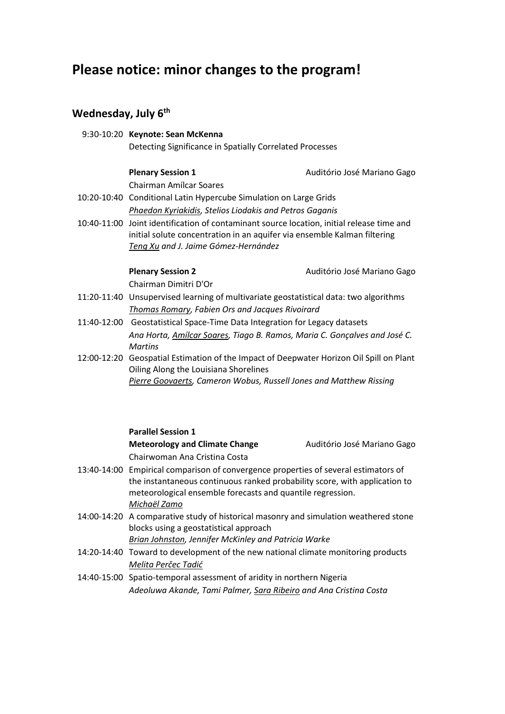## **Please notice: minor changes to the program!**

## **Wednesday, July 6th**

|  | 9:30-10:20 Keynote: Sean McKenna<br>Detecting Significance in Spatially Correlated Processes                                                                                                                  |                             |  |
|--|---------------------------------------------------------------------------------------------------------------------------------------------------------------------------------------------------------------|-----------------------------|--|
|  |                                                                                                                                                                                                               |                             |  |
|  | <b>Plenary Session 1</b>                                                                                                                                                                                      | Auditório José Mariano Gago |  |
|  | <b>Chairman Amílcar Soares</b>                                                                                                                                                                                |                             |  |
|  | 10:20-10:40 Conditional Latin Hypercube Simulation on Large Grids                                                                                                                                             |                             |  |
|  | Phaedon Kyriakidis, Stelios Liodakis and Petros Gaganis                                                                                                                                                       |                             |  |
|  | 10:40-11:00 Joint identification of contaminant source location, initial release time and<br>initial solute concentration in an aquifer via ensemble Kalman filtering<br>Teng Xu and J. Jaime Gómez-Hernández |                             |  |
|  | <b>Plenary Session 2</b>                                                                                                                                                                                      | Auditório José Mariano Gago |  |
|  | Chairman Dimitri D'Or                                                                                                                                                                                         |                             |  |
|  | 11:20-11:40 Unsupervised learning of multivariate geostatistical data: two algorithms                                                                                                                         |                             |  |
|  | Thomas Romary, Fabien Ors and Jacques Rivoirard                                                                                                                                                               |                             |  |
|  | 11:40-12:00 Geostatistical Space-Time Data Integration for Legacy datasets                                                                                                                                    |                             |  |
|  | Ana Horta, Amílcar Soares, Tiago B. Ramos, Maria C. Gonçalves and José C.<br><b>Martins</b>                                                                                                                   |                             |  |
|  | 12:00-12:20 Geospatial Estimation of the Impact of Deepwater Horizon Oil Spill on Plant<br>Oiling Along the Louisiana Shorelines                                                                              |                             |  |
|  | Pierre Goovaerts, Cameron Wobus, Russell Jones and Matthew Rissing                                                                                                                                            |                             |  |
|  |                                                                                                                                                                                                               |                             |  |
|  |                                                                                                                                                                                                               |                             |  |

| <b>Parallel Session 1</b>                                                            |                             |  |
|--------------------------------------------------------------------------------------|-----------------------------|--|
| <b>Meteorology and Climate Change</b>                                                | Auditório José Mariano Gago |  |
| Chairwoman Ana Cristina Costa                                                        |                             |  |
| 13:40-14:00 Empirical comparison of convergence properties of several estimators of  |                             |  |
| the instantaneous continuous ranked probability score, with application to           |                             |  |
| meteorological ensemble forecasts and quantile regression.                           |                             |  |
| Michaël Zamo                                                                         |                             |  |
| 14:00-14:20 A comparative study of historical masonry and simulation weathered stone |                             |  |
| blocks using a geostatistical approach                                               |                             |  |
| Brian Johnston, Jennifer McKinley and Patricia Warke                                 |                             |  |
| 14:20-14:40 Toward to development of the new national climate monitoring products    |                             |  |
| Melita Perčec Tadić                                                                  |                             |  |
| 14:40-15:00 Spatio-temporal assessment of aridity in northern Nigeria                |                             |  |
| Adeoluwa Akande, Tami Palmer, Sara Ribeiro and Ana Cristina Costa                    |                             |  |